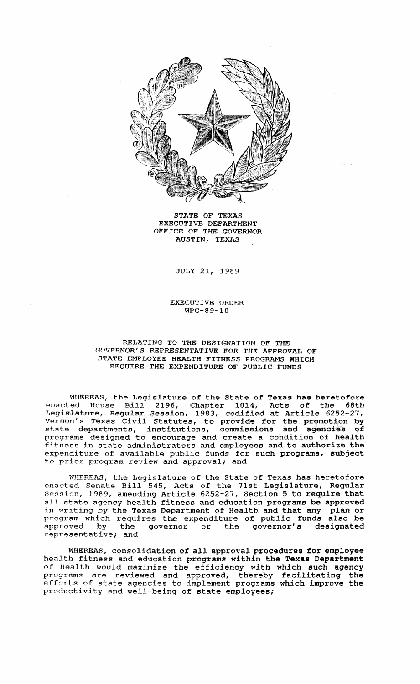

STATE OF TEXAS EXECUTIVE DEPARTMENT OFFICE OF THE GOVERNOR AUSTIN, TEXAS

JULY 21, 1989

EXECUTIVE ORDER WPC-89-10

## RELATING TO THE DESIGNATION OF THE GOVERNOR'S REPRESENTATIVE FOR THE APPROVAL OF STATE EMPLOYEE HEALTH FITNESS PROGRAMS WHICH REQUIRE THE EXPENDITURE OF PUBLIC FUNDS

WHEREAS, the Legislature of the State of Texas has heretofore enacted House Bill 2196, Chapter 1014, Acts of the 68th Legislature, Regular Session, 1983, codified at Article 6252-27, Vernon's Texas Civil Statutes, to provide for the promotion by state departments, institutions, commissions and agencies of programs designed to encourage and create a condition of health fitness in state administrators and employees and to authorize the expenditure of available public funds for such programs, subject to prior program review and approval; and

WHEREAS, the Legislature of the State of Texas has heretofore enacted Senate Bill 545, Acts of the 71st Legislature, Regular Session, 1989, amending Article 6252-27, Section <sup>5</sup> to require that all state agency health fitness and education programs be approved in writing by the Texas Department of Health and that any plan or program which requires the expenditure of public funds also be approved by the governor or the governor's designated approved by the<br>representative; and

WHEREAS, consolidation of all approval procedures for employee health fitness and education programs within the Texas Department of Health would maximize the efficiency with which such agency programs are reviewed and approved, thereby facilitating the efforts of state agencies to implement programs which improve the productivity and well-being of state employees;